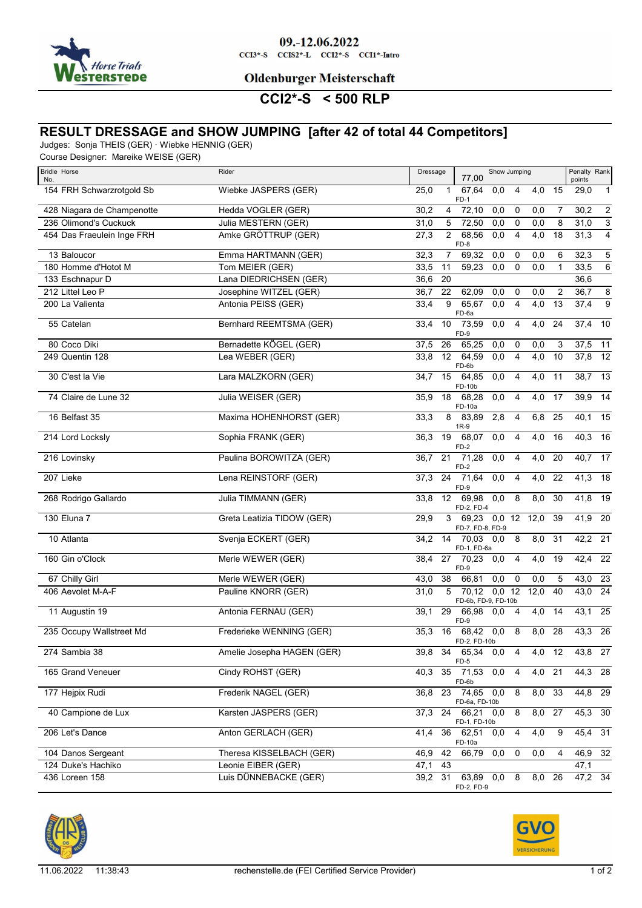

09.-12.06.2022  $CCI3*-S$   $CCI52*-L$   $CCI2*-S$   $CCI1*-Intro$ 

**Oldenburger Meisterschaft** 

## **CCI2\*-S < 500 RLP**

#### **RESULT DRESSAGE and SHOW JUMPING [after 42 of total 44 Competitors]**

Judges: Sonja THEIS (GER) · Wiebke HENNIG (GER)

Course Designer: Mareike WEISE (GER)

| <b>Bridle Horse</b><br>No. | Rider                      | Dressage<br>Show Jumping<br>Penalty Rank<br>77,00<br>points                                               |
|----------------------------|----------------------------|-----------------------------------------------------------------------------------------------------------|
| 154 FRH Schwarzrotgold Sb  | Wiebke JASPERS (GER)       | 25,0<br>67,64<br>0,0<br>4,0<br>15<br>29,0<br>4<br>$\mathbf{1}$<br>1<br>FD-1                               |
| 428 Niagara de Champenotte | Hedda VOGLER (GER)         | 72,10<br>$\overline{c}$<br>30,2<br>4<br>0,0<br>0,0<br>30,2<br>0<br>7                                      |
| 236 Olimond's Cuckuck      | Julia MESTERN (GER)        | 3<br>31,0<br>5<br>72,50<br>0,0<br>8<br>31,0<br>0<br>0,0                                                   |
| 454 Das Fraeulein Inge FRH | Amke GRÖTTRUP (GER)        | $\overline{4}$<br>$\overline{4}$<br>4,0<br>31,3<br>27,3<br>2<br>68,56<br>0,0<br>18<br>FD-8                |
| 13 Baloucor                | Emma HARTMANN (GER)        | $\mathbf 5$<br>32,3<br>69,32<br>32,3<br>7<br>0,0<br>0<br>0,0<br>6                                         |
| 180 Homme d'Hotot M        | Tom MEIER (GER)            | 6<br>33,5<br>59,23<br>0,0<br>$\mathbf 0$<br>0,0<br>33,5<br>11<br>1                                        |
| 133 Eschnapur D            | Lana DIEDRICHSEN (GER)     | 36,6<br>20<br>36,6                                                                                        |
| 212 Littel Leo P           | Josephine WITZEL (GER)     | $\overline{8}$<br>36,7<br>22<br>62,09<br>0,0<br>0<br>0,0<br>2<br>36,7                                     |
| 200 La Valienta            | Antonia PEISS (GER)        | 65,67<br>9<br>9<br>0,0<br>4<br>4,0<br>13<br>37,4<br>33,4<br>FD-6a                                         |
| 55 Catelan                 | Bernhard REEMTSMA (GER)    | 4,0<br>24<br>37,4<br>10<br>10<br>73,59<br>0,0<br>4<br>33,4<br>FD-9                                        |
| 80 Coco Diki               | Bernadette KÖGEL (GER)     | 26<br>37,5<br>11<br>37,5<br>65,25<br>0,0<br>$\mathbf 0$<br>0,0<br>3                                       |
| 249 Quentin 128            | Lea WEBER (GER)            | $\overline{12}$<br>12<br>64,59<br>$\overline{4}$<br>4,0<br>37,8<br>33,8<br>0,0<br>10<br>FD-6b             |
| 30 C'est la Vie            | Lara MALZKORN (GER)        | 15<br>$\overline{4,0}$<br>38,7<br>13<br>64,85<br>0,0<br>4<br>11<br>34,7<br>FD-10b                         |
| 74 Claire de Lune 32       | Julia WEISER (GER)         | $\overline{4,0}$<br>39,9<br>14<br>35,9<br>18<br>68,28<br>0,0<br>$\overline{4}$<br>17<br>FD-10a            |
| 16 Belfast 35              | Maxima HOHENHORST (GER)    | 6,8<br>40,1<br>15<br>8<br>83.89<br>2,8<br>4<br>25<br>33,3<br>$1R-9$                                       |
| 214 Lord Locksly           | Sophia FRANK (GER)         | 68,07<br>$\overline{4,0}$<br>40,3<br>16<br>36,3<br>19<br>0,0<br>4<br>16<br>FD-2                           |
| 216 Lovinsky               | Paulina BOROWITZA (GER)    | $40,7$ 17<br>21<br>71,28<br>0,0<br>$\overline{4}$<br>$\overline{4,0}$<br>20<br>36,7<br>FD-2               |
| 207 Lieke                  | Lena REINSTORF (GER)       | 24<br>71,64<br>$\overline{0,0}$<br>$\overline{4}$<br>$\overline{4,0}$<br>22<br>41,3<br>18<br>37,3<br>FD-9 |
| 268 Rodrigo Gallardo       | Julia TIMMANN (GER)        | 41,8<br>$\overline{19}$<br>8<br>8,0<br>33,8<br>12<br>69,98<br>0,0<br>30<br>FD-2, FD-4                     |
| 130 Eluna 7                | Greta Leatizia TIDOW (GER) | 41,9<br>$\overline{20}$<br>69,23 0,0 12 12,0<br>29,9<br>3<br>39<br>FD-7, FD-8, FD-9                       |
| 10 Atlanta                 | Svenja ECKERT (GER)        | 8,0<br>$42,2$ 21<br>14<br>70,03 0,0<br>8<br>31<br>34,2<br>FD-1, FD-6a                                     |
| 160 Gin o'Clock            | Merle WEWER (GER)          | $\overline{4,0}$<br>42,4<br>22<br>27<br>70,23<br>0,0<br>$\overline{4}$<br>19<br>38,4<br>FD-9              |
| 67 Chilly Girl             | Merle WEWER (GER)          | 38<br>66,81<br>0,0<br>0,0<br>43,0<br>- 23<br>43,0<br>0<br>5                                               |
| 406 Aevolet M-A-F          | Pauline KNORR (GER)        | $\overline{24}$<br>12,0<br>43,0<br>31,0<br>5<br>70,12<br>$0,0$ 12<br>40<br>FD-6b, FD-9, FD-10b            |
| 11 Augustin 19             | Antonia FERNAU (GER)       | $\overline{4,0}$<br>43,1<br>25<br>29<br>14<br>39,1<br>66,98<br>0.04<br>FD-9                               |
| 235 Occupy Wallstreet Md   | Frederieke WENNING (GER)   | $43,3$ 26<br>$68,42$ 0,0<br>8,0<br>28<br>35,3<br>16<br>8<br>FD-2, FD-10b                                  |
| 274 Sambia 38              | Amelie Josepha HAGEN (GER) | $\overline{27}$<br>39,8<br>$\overline{34}$<br>65,34<br>$\overline{12}$<br>43,8<br>4<br>4,0<br>0,0<br>FD-5 |
| 165 Grand Veneuer          | Cindy ROHST (GER)          | 35<br>71,53<br>$\overline{4}$<br>4,0 21<br>44,3 28<br>0,0<br>40,3<br>FD-6b                                |
| 177 Hejpix Rudi            | Frederik NAGEL (GER)       | 8,0<br>23 74,65 0,0<br>8<br>33<br>44,8 29<br>36,8<br>FD-6a, FD-10b                                        |
| 40 Campione de Lux         | Karsten JASPERS (GER)      | 24 66,21 0,0<br>8,0<br>27<br>45,3 30<br>37,3<br>8<br>FD-1, FD-10b                                         |
| 206 Let's Dance            | Anton GERLACH (GER)        | 36 62,51<br>4,0<br>45,4<br>31<br>41,4<br>0,0<br>4<br>9<br>FD-10a                                          |
| 104 Danos Sergeant         | Theresa KISSELBACH (GER)   | 0,0<br>46,9 32<br>46,9<br>42<br>66,79<br>0,0<br>0<br>4                                                    |
| 124 Duke's Hachiko         | Leonie EIBER (GER)         | 47,1<br>43<br>47,1                                                                                        |
| 436 Loreen 158             | Luis DÜNNEBACKE (GER)      | 8,0 26<br>47,2 34<br>39,2<br>31 63,89<br>8<br>0,0<br>FD-2, FD-9                                           |